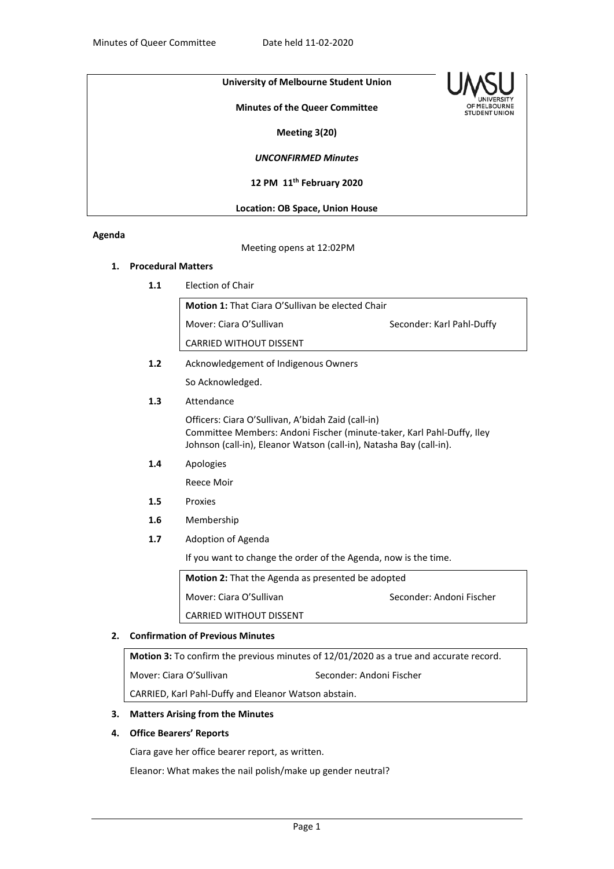# **University of Melbourne Student Union**

**Minutes of the Queer Committee**



**Meeting 3(20)**

*UNCONFIRMED Minutes*

**12 PM 11th February 2020**

**Location: OB Space, Union House**

## **Agenda**

Meeting opens at 12:02PM

# **1. Procedural Matters**

**1.1** Election of Chair

**Motion 1:** That Ciara O'Sullivan be elected Chair Mover: Ciara O'Sullivan Seconder: Karl Pahl-Duffy CARRIED WITHOUT DISSENT **1.2** Acknowledgement of Indigenous Owners

So Acknowledged.

**1.3** Attendance

Officers: Ciara O'Sullivan, A'bidah Zaid (call-in) Committee Members: Andoni Fischer (minute-taker, Karl Pahl-Duffy, Iley Johnson (call-in), Eleanor Watson (call-in), Natasha Bay (call-in).

**1.4** Apologies

Reece Moir

- **1.5** Proxies
- **1.6** Membership
- **1.7** Adoption of Agenda

If you want to change the order of the Agenda, now is the time.

| <b>Motion 2:</b> That the Agenda as presented be adopted |                          |
|----------------------------------------------------------|--------------------------|
| Mover: Ciara O'Sullivan                                  | Seconder: Andoni Fischer |
| <b>CARRIED WITHOUT DISSENT</b>                           |                          |

### **2. Confirmation of Previous Minutes**

**Motion 3:** To confirm the previous minutes of 12/01/2020 as a true and accurate record. Mover: Ciara O'Sullivan Seconder: Andoni Fischer CARRIED, Karl Pahl-Duffy and Eleanor Watson abstain.

### **3. Matters Arising from the Minutes**

## **4. Office Bearers' Reports**

Ciara gave her office bearer report, as written.

Eleanor: What makes the nail polish/make up gender neutral?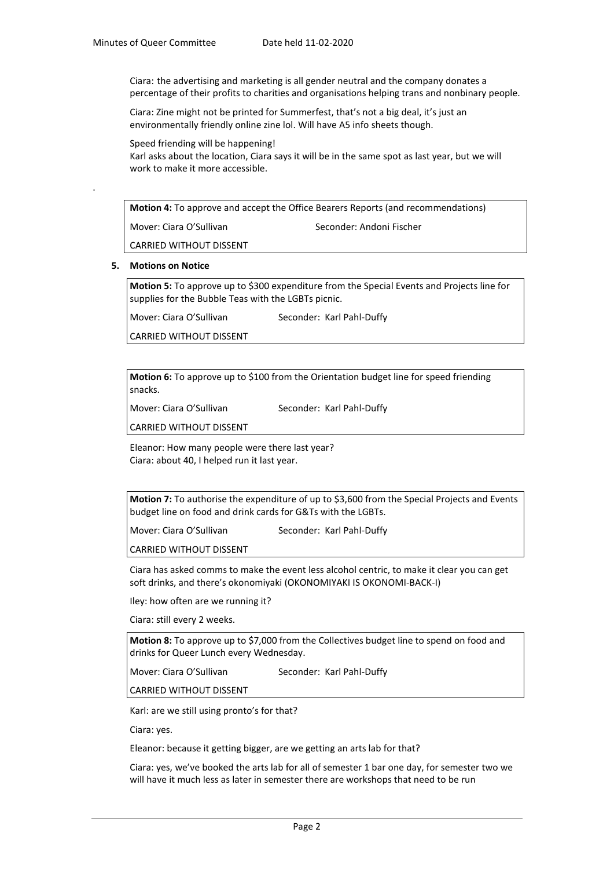Ciara: the advertising and marketing is all gender neutral and the company donates a percentage of their profits to charities and organisations helping trans and nonbinary people.

Ciara: Zine might not be printed for Summerfest, that's not a big deal, it's just an environmentally friendly online zine lol. Will have A5 info sheets though.

Speed friending will be happening!

Karl asks about the location, Ciara says it will be in the same spot as last year, but we will work to make it more accessible.

**Motion 4:** To approve and accept the Office Bearers Reports (and recommendations)

Mover: Ciara O'Sullivan Seconder: Andoni Fischer

CARRIED WITHOUT DISSENT

#### **5. Motions on Notice**

.

**Motion 5:** To approve up to \$300 expenditure from the Special Events and Projects line for supplies for the Bubble Teas with the LGBTs picnic.

Mover: Ciara O'Sullivan Seconder: Karl Pahl-Duffy

CARRIED WITHOUT DISSENT

**Motion 6:** To approve up to \$100 from the Orientation budget line for speed friending snacks.

Mover: Ciara O'Sullivan Seconder: Karl Pahl-Duffy

CARRIED WITHOUT DISSENT

Eleanor: How many people were there last year? Ciara: about 40, I helped run it last year.

**Motion 7:** To authorise the expenditure of up to \$3,600 from the Special Projects and Events budget line on food and drink cards for G&Ts with the LGBTs.

Mover: Ciara O'Sullivan Seconder: Karl Pahl-Duffy

CARRIED WITHOUT DISSENT

Ciara has asked comms to make the event less alcohol centric, to make it clear you can get soft drinks, and there's okonomiyaki (OKONOMIYAKI IS OKONOMI-BACK-I)

Iley: how often are we running it?

Ciara: still every 2 weeks.

**Motion 8:** To approve up to \$7,000 from the Collectives budget line to spend on food and drinks for Queer Lunch every Wednesday.

Mover: Ciara O'Sullivan Seconder: Karl Pahl-Duffy

CARRIED WITHOUT DISSENT

Karl: are we still using pronto's for that?

Ciara: yes.

Eleanor: because it getting bigger, are we getting an arts lab for that?

Ciara: yes, we've booked the arts lab for all of semester 1 bar one day, for semester two we will have it much less as later in semester there are workshops that need to be run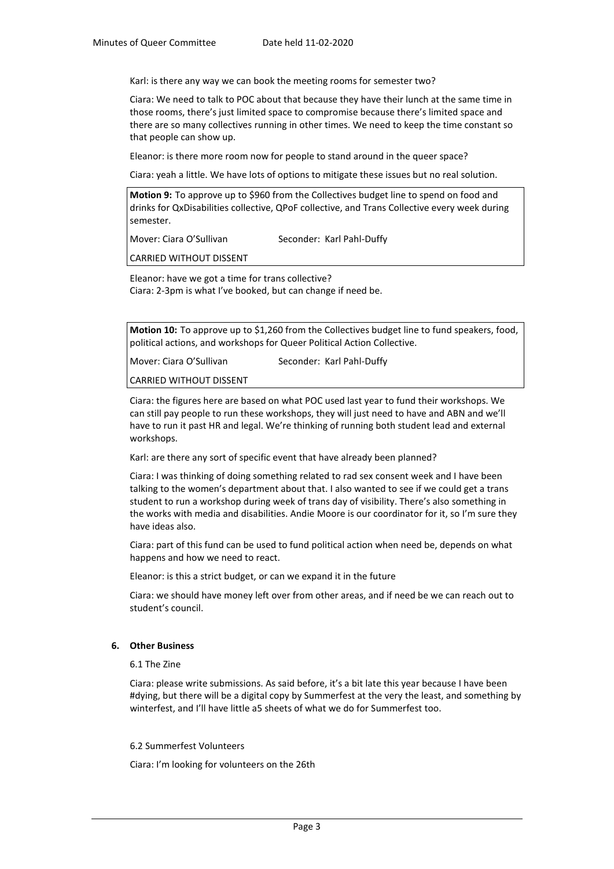Karl: is there any way we can book the meeting rooms for semester two?

Ciara: We need to talk to POC about that because they have their lunch at the same time in those rooms, there's just limited space to compromise because there's limited space and there are so many collectives running in other times. We need to keep the time constant so that people can show up.

Eleanor: is there more room now for people to stand around in the queer space?

Ciara: yeah a little. We have lots of options to mitigate these issues but no real solution.

**Motion 9:** To approve up to \$960 from the Collectives budget line to spend on food and drinks for QxDisabilities collective, QPoF collective, and Trans Collective every week during semester.

Mover: Ciara O'Sullivan Seconder: Karl Pahl-Duffy

CARRIED WITHOUT DISSENT

Eleanor: have we got a time for trans collective? Ciara: 2-3pm is what I've booked, but can change if need be.

**Motion 10:** To approve up to \$1,260 from the Collectives budget line to fund speakers, food, political actions, and workshops for Queer Political Action Collective.

Mover: Ciara O'Sullivan Seconder: Karl Pahl-Duffy

CARRIED WITHOUT DISSENT

Ciara: the figures here are based on what POC used last year to fund their workshops. We can still pay people to run these workshops, they will just need to have and ABN and we'll have to run it past HR and legal. We're thinking of running both student lead and external workshops.

Karl: are there any sort of specific event that have already been planned?

Ciara: I was thinking of doing something related to rad sex consent week and I have been talking to the women's department about that. I also wanted to see if we could get a trans student to run a workshop during week of trans day of visibility. There's also something in the works with media and disabilities. Andie Moore is our coordinator for it, so I'm sure they have ideas also.

Ciara: part of this fund can be used to fund political action when need be, depends on what happens and how we need to react.

Eleanor: is this a strict budget, or can we expand it in the future

Ciara: we should have money left over from other areas, and if need be we can reach out to student's council.

### **6. Other Business**

6.1 The Zine

Ciara: please write submissions. As said before, it's a bit late this year because I have been #dying, but there will be a digital copy by Summerfest at the very the least, and something by winterfest, and I'll have little a5 sheets of what we do for Summerfest too.

#### 6.2 Summerfest Volunteers

Ciara: I'm looking for volunteers on the 26th